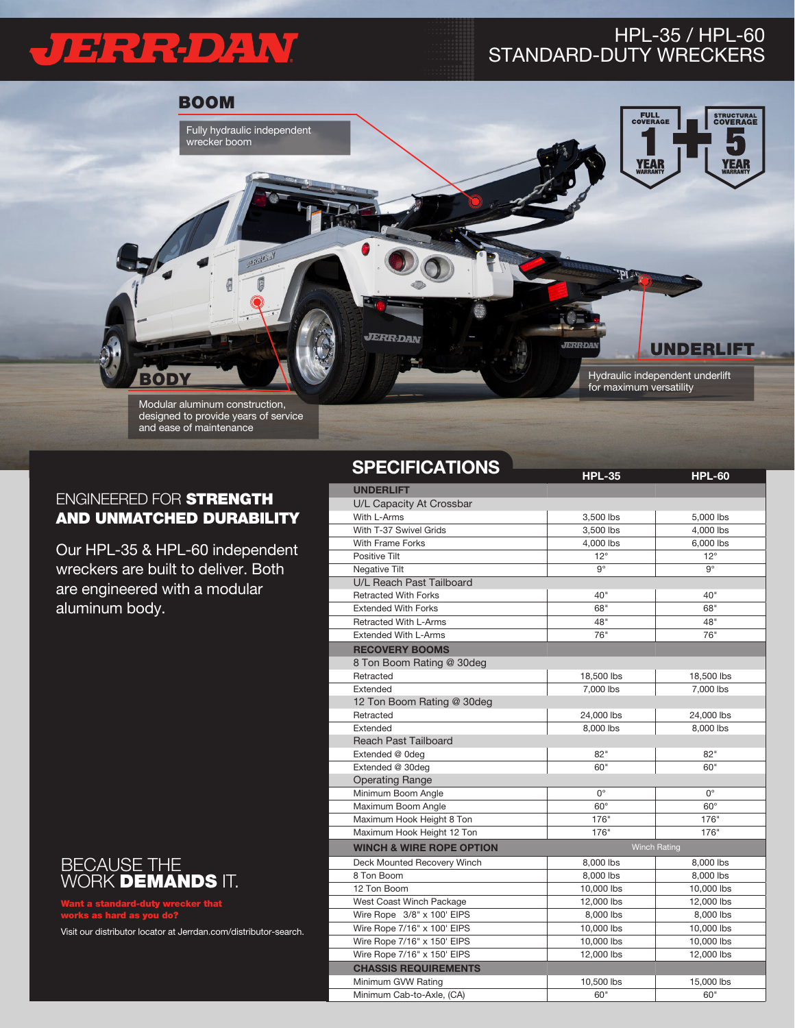## JERRDAN

## HPL-35 / HPL-60 STANDARD-DUTY WRECKERS



## ENGINEERED FOR STRENGTH AND UNMATCHED DURABILITY

Our HPL-35 & HPL-60 independent wreckers are built to deliver. Both are engineered with a modular aluminum body.



Want a standard-duty wrecker that works as hard as you do?

Visit our distributor locator at Jerrdan.com/distributor-search.

## **SPECIFICATIONS**

| טו בעוודער ווסב וט                  | <b>HPL-35</b>            | <b>HPL-60</b> |  |  |  |
|-------------------------------------|--------------------------|---------------|--|--|--|
| <b>UNDERLIFT</b>                    |                          |               |  |  |  |
| U/L Capacity At Crossbar            |                          |               |  |  |  |
| With L-Arms                         | 3,500 lbs                | 5,000 lbs     |  |  |  |
| With T-37 Swivel Grids              | 3,500 lbs                | 4,000 lbs     |  |  |  |
| <b>With Frame Forks</b>             | 4,000 lbs                | 6,000 lbs     |  |  |  |
| Positive Tilt                       | $12^{\circ}$             | $12^{\circ}$  |  |  |  |
| Negative Tilt                       | g°                       | $9^\circ$     |  |  |  |
| U/L Reach Past Tailboard            |                          |               |  |  |  |
| <b>Retracted With Forks</b>         | 40"                      | 40"           |  |  |  |
| <b>Extended With Forks</b>          | 68"                      | 68"           |  |  |  |
| <b>Retracted With L-Arms</b>        | 48"                      | 48"           |  |  |  |
| <b>Extended With L-Arms</b>         | 76"                      | 76"           |  |  |  |
| <b>RECOVERY BOOMS</b>               |                          |               |  |  |  |
| 8 Ton Boom Rating @ 30deg           |                          |               |  |  |  |
| Retracted                           | 18,500 lbs               | 18,500 lbs    |  |  |  |
| Extended                            | 7,000 lbs                | 7,000 lbs     |  |  |  |
| 12 Ton Boom Rating @ 30deg          |                          |               |  |  |  |
| Retracted                           | 24,000 lbs               | 24,000 lbs    |  |  |  |
| Extended                            | 8,000 lbs                | 8,000 lbs     |  |  |  |
| <b>Reach Past Tailboard</b>         |                          |               |  |  |  |
| Extended @ 0deg                     | 82"                      | 82"           |  |  |  |
| Extended @ 30deg                    | 60"                      | 60"           |  |  |  |
| <b>Operating Range</b>              |                          |               |  |  |  |
| Minimum Boom Angle                  | $0^{\circ}$              | $0^{\circ}$   |  |  |  |
| Maximum Boom Angle                  | $60^\circ$               | $60^\circ$    |  |  |  |
| Maximum Hook Height 8 Ton           | 176"                     | 176"          |  |  |  |
| Maximum Hook Height 12 Ton          | 176"                     | 176"          |  |  |  |
| <b>WINCH &amp; WIRE ROPE OPTION</b> | <b>Winch Rating</b>      |               |  |  |  |
| Deck Mounted Recovery Winch         | 8,000 lbs                | 8,000 lbs     |  |  |  |
| 8 Ton Boom                          | 8,000 lbs                | 8.000 lbs     |  |  |  |
| 12 Ton Boom                         | 10,000 lbs<br>10,000 lbs |               |  |  |  |
| West Coast Winch Package            | 12,000 lbs               | 12,000 lbs    |  |  |  |
| Wire Rope 3/8" x 100' EIPS          | 8,000 lbs<br>8,000 lbs   |               |  |  |  |
| Wire Rope 7/16" x 100' EIPS         | 10,000 lbs<br>10,000 lbs |               |  |  |  |
| Wire Rope 7/16" x 150' EIPS         | 10,000 lbs<br>10,000 lbs |               |  |  |  |
| Wire Rope 7/16" x 150' EIPS         | 12,000 lbs<br>12,000 lbs |               |  |  |  |
| <b>CHASSIS REQUIREMENTS</b>         |                          |               |  |  |  |
| Minimum GVW Rating                  | 10,500 lbs<br>15,000 lbs |               |  |  |  |
| Minimum Cab-to-Axle, (CA)           | 60"                      | 60"           |  |  |  |